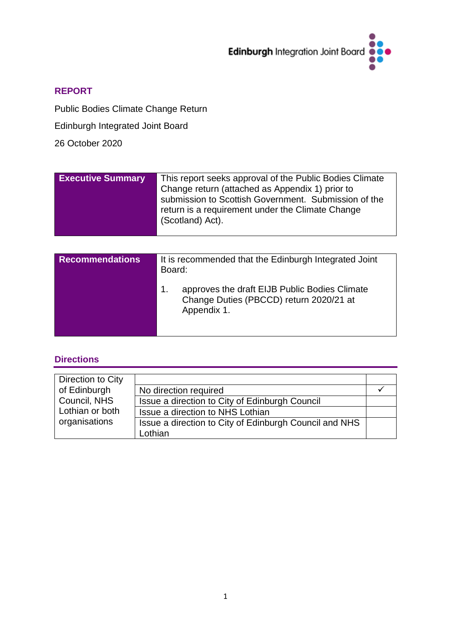

# **REPORT**

Public Bodies Climate Change Return

Edinburgh Integrated Joint Board

26 October 2020

| <b>Executive Summary</b> | This report seeks approval of the Public Bodies Climate<br>Change return (attached as Appendix 1) prior to<br>submission to Scottish Government. Submission of the<br>return is a requirement under the Climate Change<br>(Scotland) Act). |
|--------------------------|--------------------------------------------------------------------------------------------------------------------------------------------------------------------------------------------------------------------------------------------|
|                          |                                                                                                                                                                                                                                            |

| <b>Recommendations</b> | It is recommended that the Edinburgh Integrated Joint<br>Board:                                               |
|------------------------|---------------------------------------------------------------------------------------------------------------|
|                        | approves the draft EIJB Public Bodies Climate<br>1.<br>Change Duties (PBCCD) return 2020/21 at<br>Appendix 1. |

# **Directions**

| Direction to City |                                                                   |  |
|-------------------|-------------------------------------------------------------------|--|
| of Edinburgh      | No direction required                                             |  |
| Council, NHS      | Issue a direction to City of Edinburgh Council                    |  |
| Lothian or both   | Issue a direction to NHS Lothian                                  |  |
| organisations     | Issue a direction to City of Edinburgh Council and NHS<br>Lothian |  |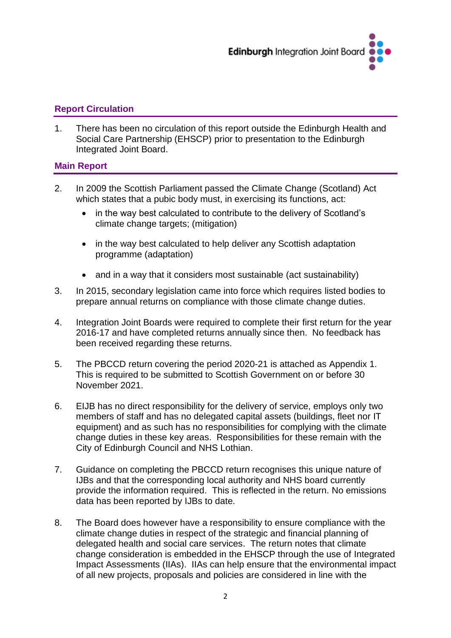

# **Report Circulation**

1. There has been no circulation of this report outside the Edinburgh Health and Social Care Partnership (EHSCP) prior to presentation to the Edinburgh Integrated Joint Board.

# **Main Report**

- 2. In 2009 the Scottish Parliament passed the Climate Change (Scotland) Act which states that a pubic body must, in exercising its functions, act:
	- in the way best calculated to contribute to the delivery of Scotland's climate change targets; (mitigation)
	- in the way best calculated to help deliver any Scottish adaptation programme (adaptation)
	- and in a way that it considers most sustainable (act sustainability)
- 3. In 2015, secondary legislation came into force which requires listed bodies to prepare annual returns on compliance with those climate change duties.
- 4. Integration Joint Boards were required to complete their first return for the year 2016-17 and have completed returns annually since then. No feedback has been received regarding these returns.
- 5. The PBCCD return covering the period 2020-21 is attached as Appendix 1. This is required to be submitted to Scottish Government on or before 30 November 2021.
- 6. EIJB has no direct responsibility for the delivery of service, employs only two members of staff and has no delegated capital assets (buildings, fleet nor IT equipment) and as such has no responsibilities for complying with the climate change duties in these key areas. Responsibilities for these remain with the City of Edinburgh Council and NHS Lothian.
- 7. Guidance on completing the PBCCD return recognises this unique nature of IJBs and that the corresponding local authority and NHS board currently provide the information required. This is reflected in the return. No emissions data has been reported by IJBs to date.
- 8. The Board does however have a responsibility to ensure compliance with the climate change duties in respect of the strategic and financial planning of delegated health and social care services. The return notes that climate change consideration is embedded in the EHSCP through the use of Integrated Impact Assessments (IIAs). IIAs can help ensure that the environmental impact of all new projects, proposals and policies are considered in line with the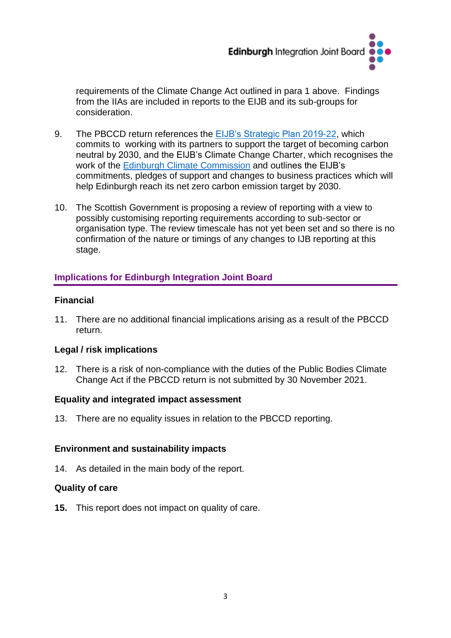

requirements of the Climate Change Act outlined in para 1 above. Findings from the IIAs are included in reports to the EIJB and its sub-groups for consideration.

- 9. The PBCCD return references the [EIJB's Strategic Plan 2019-22,](https://www.edinburghhsc.scot/wp-content/uploads/2020/01/Strategic-Plan-2019-2022-1.pdf) which commits to working with its partners to support the target of becoming carbon neutral by 2030, and the EIJB's Climate Change Charter, which recognises the work of the [Edinburgh Climate Commission](https://www.edinburghclimate.org.uk/edinburgh-climate-compact) and outlines the EIJB's commitments, pledges of support and changes to business practices which will help Edinburgh reach its net zero carbon emission target by 2030.
- 10. The Scottish Government is proposing a review of reporting with a view to possibly customising reporting requirements according to sub-sector or organisation type. The review timescale has not yet been set and so there is no confirmation of the nature or timings of any changes to IJB reporting at this stage.

# **Implications for Edinburgh Integration Joint Board**

# **Financial**

11. There are no additional financial implications arising as a result of the PBCCD return.

# **Legal / risk implications**

12. There is a risk of non-compliance with the duties of the Public Bodies Climate Change Act if the PBCCD return is not submitted by 30 November 2021.

# **Equality and integrated impact assessment**

13. There are no equality issues in relation to the PBCCD reporting.

# **Environment and sustainability impacts**

14. As detailed in the main body of the report.

# **Quality of care**

**15.** This report does not impact on quality of care.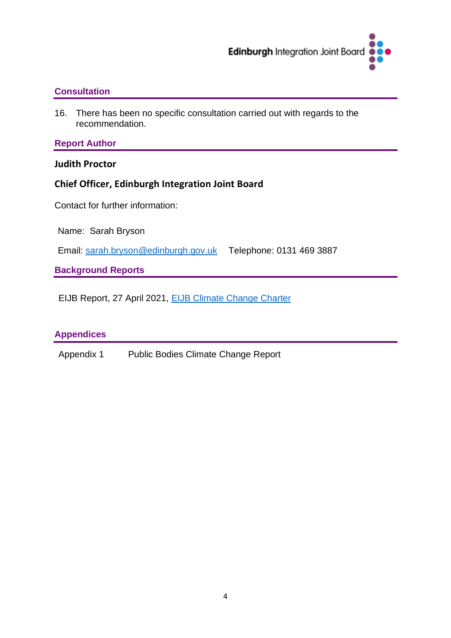

# **Consultation**

16. There has been no specific consultation carried out with regards to the recommendation.

# **Report Author**

**Judith Proctor** 

# **Chief Officer, Edinburgh Integration Joint Board**

Contact for further information:

Name: Sarah Bryson

Email: [sarah.bryson@edinburgh.gov.uk](mailto:sarah.bryson@edinburgh.gov.uk) Telephone: 0131 469 3887

**Background Reports**

EIJB Report, 27 April 2021, [EIJB Climate Change Charter](https://democracy.edinburgh.gov.uk/documents/s33362/6.4%20EIJB%20Climate%20Change%20Charter.pdf)

# **Appendices**

Appendix 1 Public Bodies Climate Change Report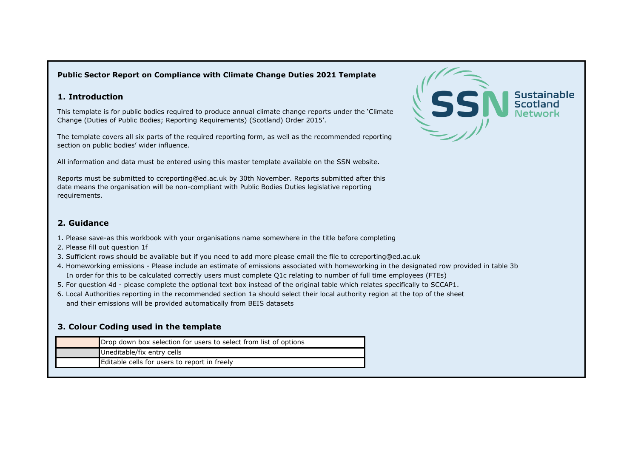### **Public Sector Report on Compliance with Climate Change Duties 2021 Template**

### **1. Introduction**

This template is for public bodies required to produce annual climate change reports under the 'Climate Change (Duties of Public Bodies; Reporting Requirements) (Scotland) Order 2015'.

The template covers all six parts of the required reporting form, as well as the recommended reporting section on public bodies' wider influence.

All information and data must be entered using this master template available on the SSN website.

Reports must be submitted to ccreporting@ed.ac.uk by 30th November. Reports submitted after this date means the organisation will be non-compliant with Public Bodies Duties legislative reporting requirements.

### **2. Guidance**

- 1. Please save-as this workbook with your organisations name somewhere in the title before completing
- 2. Please fill out question 1f
- 3. Sufficient rows should be available but if you need to add more please email the file to ccreporting@ed.ac.uk
- 4. Homeworking emissions Please include an estimate of emissions associated with homeworking in the designated row provided in table 3b In order for this to be calculated correctly users must complete Q1c relating to number of full time employees (FTEs)
- 5. For question 4d please complete the optional text box instead of the original table which relates specifically to SCCAP1.
- 6. Local Authorities reporting in the recommended section 1a should select their local authority region at the top of the sheet and their emissions will be provided automatically from BEIS datasets

## **3. Colour Coding used in the template**

| Drop down box selection for users to select from list of options |
|------------------------------------------------------------------|
| Uneditable/fix entry cells                                       |
| Editable cells for users to report in freely                     |

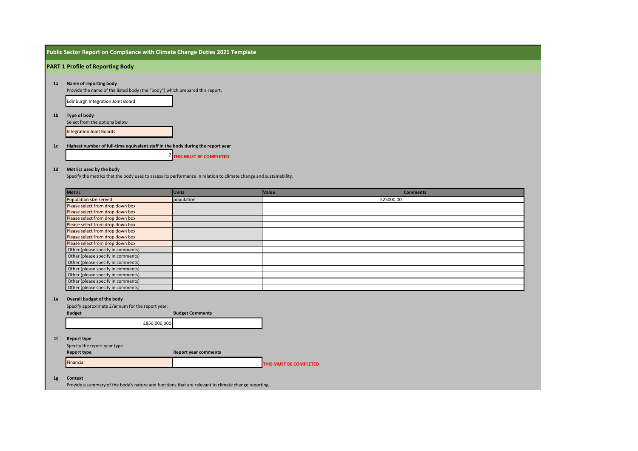| Public Sector Report on Compliance with Climate Change Duties 2021 Template |  |  |
|-----------------------------------------------------------------------------|--|--|
|-----------------------------------------------------------------------------|--|--|

### **PART 1 Profile of Reporting Body**

### **1a Name of reporting body**

Provide the name of the listed body (the "body") which prepared this report.

Edinburgh Integration Joint Board

### **1b Type of body**

Select from the options below

Integration Joint Boards

#### **1c Highest number of full-time equivalent staff in the body during the report year**

2 **THIS MUST BE COMPLETED**

### **1d Metrics used by the body**

Specify the metrics that the body uses to assess its performance in relation to climate change and sustainability.

| <b>Metric</b>                      | <b>Units</b> | Value     | <b>Comments</b> |
|------------------------------------|--------------|-----------|-----------------|
| Population size served             | population   | 525000.00 |                 |
| Please select from drop down box   |              |           |                 |
| Please select from drop down box   |              |           |                 |
| Please select from drop down box   |              |           |                 |
| Please select from drop down box   |              |           |                 |
| Please select from drop down box   |              |           |                 |
| Please select from drop down box   |              |           |                 |
| Please select from drop down box   |              |           |                 |
| Other (please specify in comments) |              |           |                 |
| Other (please specify in comments) |              |           |                 |
| Other (please specify in comments) |              |           |                 |
| Other (please specify in comments) |              |           |                 |
| Other (please specify in comments) |              |           |                 |
| Other (please specify in comments) |              |           |                 |
| Other (please specify in comments) |              |           |                 |

### **1e Overall budget of the body**

|                | Specify approximate £/annum for the report year. |              |                             |                        |
|----------------|--------------------------------------------------|--------------|-----------------------------|------------------------|
|                | <b>Budget</b>                                    |              | <b>Budget Comments</b>      |                        |
|                |                                                  | £850,000,000 |                             |                        |
| 1 <sub>f</sub> | <b>Report type</b>                               |              |                             |                        |
|                | Specify the report year type                     |              |                             |                        |
|                | <b>Report type</b>                               |              | <b>Report year comments</b> |                        |
|                | Financial                                        |              |                             | THIS MUST BE COMPLETED |

### **1g Context**

Provide a summary of the body's nature and functions that are relevant to climate change reporting.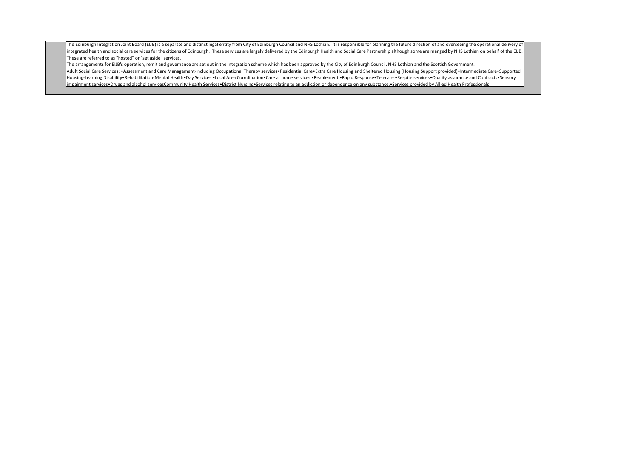The Edinburgh Integration Joint Board (EIJB) is a separate and distinct legal entity from City of Edinburgh Council and NHS Lothian. It is responsible for planning the future direction of and overseeing the operational del integrated health and social care services for the citizens of Edinburgh. These services are largely delivered by the Edinburgh Health and Social Care Partnership although some are manged by NHS Lothian on behalf of the EI These are referred to as "hosted" or "set aside" services.

The arrangements for EIJB's operation, remit and governance are set out in the integration scheme which has been approved by the City of Edinburgh Council, NHS Lothian and the Scottish Government. Adult Social Care Services: •Assessment and Care Management-including Occupational Therapy services•Residential Care•Extra Care Housing and Sheltered Housing (Housing Support provided)•Intermediate Care•Supported Housing-Learning Disability•Rehabilitation-Mental Health•Day Services •Local Area Coordination•Care at home services •Reablement •Rapid Response•Telecare •Respite services•Quality assurance and Contracts•Sensory impairment services•Drugs and alcohol servicesCommunity Health Services•District Nursing•Services relating to an addiction or dependence on any substance.•Services provided by Allied Health Professionals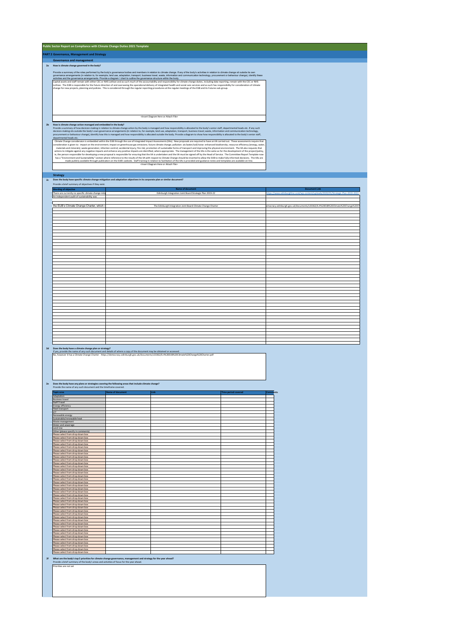|    | Public Sector Report on Compliance with Climate Change Duties 2021 Template                                       |                                                                                                                                                                                                                                                                                                                                                                                                                          |                                                                            |
|----|-------------------------------------------------------------------------------------------------------------------|--------------------------------------------------------------------------------------------------------------------------------------------------------------------------------------------------------------------------------------------------------------------------------------------------------------------------------------------------------------------------------------------------------------------------|----------------------------------------------------------------------------|
|    | <b>PART 2 Governance, Management and Strategy</b>                                                                 |                                                                                                                                                                                                                                                                                                                                                                                                                          |                                                                            |
|    | <b>Governance and management</b>                                                                                  |                                                                                                                                                                                                                                                                                                                                                                                                                          |                                                                            |
|    | 2a How is climate change governed in the body?                                                                    |                                                                                                                                                                                                                                                                                                                                                                                                                          |                                                                            |
|    |                                                                                                                   | Provide a summary of the roles performed by the body's governance bodies and members in relation to climate change. If any of the body's activities in relation to climate change sit outside its own                                                                                                                                                                                                                    |                                                                            |
|    |                                                                                                                   | governance arrangements (in relation to, for example, land use, adaptation, transport, business travel, waste, information and communication technology, procurement or behaviour change), identify these<br>activities and the governance arrangements. Provide a diagram / chart to outline the governance structure within the body.                                                                                  |                                                                            |
|    |                                                                                                                   | Capital assets and staff remain with either CEC or NHS Lothian and as such much of the accountability and responsibility for climate change duties, including data reporting, remain with the CEC or NHS<br>othian. The EUB is responsible for the future direction of and overseeing the operational delivery of integrated health and social care services and as such has responsibility for consideration of climate |                                                                            |
|    |                                                                                                                   | change for new projects, planning and policies. This is considered through the regular reporting procedures at the regular meetings of the EUB and its Futures sub-group.                                                                                                                                                                                                                                                |                                                                            |
|    |                                                                                                                   |                                                                                                                                                                                                                                                                                                                                                                                                                          |                                                                            |
|    |                                                                                                                   |                                                                                                                                                                                                                                                                                                                                                                                                                          |                                                                            |
|    |                                                                                                                   |                                                                                                                                                                                                                                                                                                                                                                                                                          |                                                                            |
|    |                                                                                                                   |                                                                                                                                                                                                                                                                                                                                                                                                                          |                                                                            |
|    |                                                                                                                   | <insert attach="" diagram="" file="" here="" or=""></insert>                                                                                                                                                                                                                                                                                                                                                             |                                                                            |
|    |                                                                                                                   |                                                                                                                                                                                                                                                                                                                                                                                                                          |                                                                            |
|    | 2b How is climate change action managed and embedded in the body?                                                 | Provide a summary of how decision-making in relation to climate change action by the body is managed and how responsibility is allocated to the body's senior staff, departmental heads etc. If any such                                                                                                                                                                                                                 |                                                                            |
|    |                                                                                                                   | decision-making sits outside the body's own governance arrangements (in relation to, for example, land use, adaptation, transport, business travel, waste, information and communication technology,<br>procurement or behaviour change), identify how this is managed and how responsibility is allocated outside the body. Provide a diagram to show how responsibility is allocated to the body's senior staff,       |                                                                            |
|    | departmental heads etc.                                                                                           |                                                                                                                                                                                                                                                                                                                                                                                                                          |                                                                            |
|    |                                                                                                                   | Climate Change consideraion is embedded within the EIJB through the use of Integrated Impact Assessments (IIAs). New proposals are required to have an IIA carried out. These assessments require that<br>consideration is given to: impact on the environment; impact on greenhouse gas emissions; future climate change; pollution: air/water/soil/noise: enhanced biodiversity; resource efficiency (energy, water    |                                                                            |
|    |                                                                                                                   | materials and minerals): waste generation: infection control: accidental injury: fire risk: promotion of sustainable forms of transport and improving the physical environment. The IIA also requests that<br>actions to mitigate against any negative impacts and enhance any positive impacts are identified, where appropriate. The management of the IIAs is the same as for the development of the project/policy,  |                                                                            |
|    |                                                                                                                   | ie, the person responsible for developing a new proposal is responsible for ensuring that the IIA is undertaken and the IIA must be signed off by the Head of Service. The Committee Report Template now                                                                                                                                                                                                                 |                                                                            |
|    |                                                                                                                   | has a "Environment and Sustainability" section where reference to the results of the IIA with respect to Climate Change should be inserted to allow the EUB to make fully informed decisions. The IIAs are<br>made publicly available through publication on the EUB's website. Staff training in relation to facilitation of the IIAs is provided and guidance notes and templates are available on-line.               |                                                                            |
|    |                                                                                                                   | <insert attach="" diagram="" file="" here="" or=""></insert>                                                                                                                                                                                                                                                                                                                                                             |                                                                            |
|    |                                                                                                                   |                                                                                                                                                                                                                                                                                                                                                                                                                          |                                                                            |
|    | <b>Strategy</b>                                                                                                   | 2c Does the body have specific climate change mitigation and adaptation objectives in its corporate plan or similar document?                                                                                                                                                                                                                                                                                            |                                                                            |
|    | Provide a brief summary of objectives if they exist.                                                              |                                                                                                                                                                                                                                                                                                                                                                                                                          |                                                                            |
|    |                                                                                                                   | Name of do                                                                                                                                                                                                                                                                                                                                                                                                               | at Lini                                                                    |
|    | There are currently no specific climate change miti<br>In independent audit of sustainability was                 | Edinburgh Integration Joint Board Strategic Plan 2019-22                                                                                                                                                                                                                                                                                                                                                                 | tps://www.edir                                                             |
|    |                                                                                                                   |                                                                                                                                                                                                                                                                                                                                                                                                                          |                                                                            |
|    | the EUB's Climate Change Charter, which r                                                                         | The Edinburgh Integration Joint Board Climate Change Charter                                                                                                                                                                                                                                                                                                                                                             | mocracy.edinburgh.gov.uk/documents/s33362/6.4%20EUB%20Climate%20Change%20C |
|    |                                                                                                                   |                                                                                                                                                                                                                                                                                                                                                                                                                          |                                                                            |
|    |                                                                                                                   |                                                                                                                                                                                                                                                                                                                                                                                                                          |                                                                            |
|    |                                                                                                                   |                                                                                                                                                                                                                                                                                                                                                                                                                          |                                                                            |
|    |                                                                                                                   |                                                                                                                                                                                                                                                                                                                                                                                                                          |                                                                            |
|    |                                                                                                                   |                                                                                                                                                                                                                                                                                                                                                                                                                          |                                                                            |
|    |                                                                                                                   |                                                                                                                                                                                                                                                                                                                                                                                                                          |                                                                            |
|    |                                                                                                                   |                                                                                                                                                                                                                                                                                                                                                                                                                          |                                                                            |
|    |                                                                                                                   |                                                                                                                                                                                                                                                                                                                                                                                                                          |                                                                            |
|    |                                                                                                                   |                                                                                                                                                                                                                                                                                                                                                                                                                          |                                                                            |
|    |                                                                                                                   |                                                                                                                                                                                                                                                                                                                                                                                                                          |                                                                            |
|    |                                                                                                                   |                                                                                                                                                                                                                                                                                                                                                                                                                          |                                                                            |
|    |                                                                                                                   |                                                                                                                                                                                                                                                                                                                                                                                                                          |                                                                            |
|    |                                                                                                                   |                                                                                                                                                                                                                                                                                                                                                                                                                          |                                                                            |
|    |                                                                                                                   |                                                                                                                                                                                                                                                                                                                                                                                                                          |                                                                            |
|    |                                                                                                                   |                                                                                                                                                                                                                                                                                                                                                                                                                          |                                                                            |
|    |                                                                                                                   |                                                                                                                                                                                                                                                                                                                                                                                                                          |                                                                            |
|    |                                                                                                                   |                                                                                                                                                                                                                                                                                                                                                                                                                          |                                                                            |
|    |                                                                                                                   |                                                                                                                                                                                                                                                                                                                                                                                                                          |                                                                            |
|    |                                                                                                                   |                                                                                                                                                                                                                                                                                                                                                                                                                          |                                                                            |
|    |                                                                                                                   |                                                                                                                                                                                                                                                                                                                                                                                                                          |                                                                            |
|    |                                                                                                                   |                                                                                                                                                                                                                                                                                                                                                                                                                          |                                                                            |
|    |                                                                                                                   |                                                                                                                                                                                                                                                                                                                                                                                                                          |                                                                            |
|    |                                                                                                                   |                                                                                                                                                                                                                                                                                                                                                                                                                          |                                                                            |
|    |                                                                                                                   |                                                                                                                                                                                                                                                                                                                                                                                                                          |                                                                            |
|    | 2d Does the body have a climate change plan or strategy?                                                          | If yes, provide the name of any such document and details of where a copy of the document may be obtained or accessed.                                                                                                                                                                                                                                                                                                   |                                                                            |
|    |                                                                                                                   | No, however it has a Climate Change Charter - https://democracy.edinburgh.gov.uk/documents/s33362/6.4%20EUB%20Climate%20Change%20Charter.pdf                                                                                                                                                                                                                                                                             |                                                                            |
|    |                                                                                                                   |                                                                                                                                                                                                                                                                                                                                                                                                                          |                                                                            |
|    |                                                                                                                   |                                                                                                                                                                                                                                                                                                                                                                                                                          |                                                                            |
|    |                                                                                                                   |                                                                                                                                                                                                                                                                                                                                                                                                                          |                                                                            |
|    |                                                                                                                   |                                                                                                                                                                                                                                                                                                                                                                                                                          |                                                                            |
|    | Provide the name of any such document and the timeframe covered.                                                  | 2e Does the body have any plans or strategies covering the following areas that include climate change?                                                                                                                                                                                                                                                                                                                  |                                                                            |
|    | opic area                                                                                                         | <b>Time period covered</b><br>Link<br>lame of document                                                                                                                                                                                                                                                                                                                                                                   | ıts                                                                        |
|    | Adaptation<br><b>Business travel</b>                                                                              |                                                                                                                                                                                                                                                                                                                                                                                                                          |                                                                            |
|    | <b>Staff Travel</b>                                                                                               |                                                                                                                                                                                                                                                                                                                                                                                                                          |                                                                            |
|    | inergy efficiency<br>leet transport                                                                               |                                                                                                                                                                                                                                                                                                                                                                                                                          |                                                                            |
|    | Renewable energy                                                                                                  |                                                                                                                                                                                                                                                                                                                                                                                                                          |                                                                            |
|    | Sustainable/renewable heat<br><b>Naste management</b>                                                             |                                                                                                                                                                                                                                                                                                                                                                                                                          |                                                                            |
|    | Water and sewerage<br>and Use                                                                                     |                                                                                                                                                                                                                                                                                                                                                                                                                          |                                                                            |
|    | Other (please specify in comments)<br>lease select from drop down box                                             |                                                                                                                                                                                                                                                                                                                                                                                                                          |                                                                            |
|    | lease select from drop down box                                                                                   |                                                                                                                                                                                                                                                                                                                                                                                                                          |                                                                            |
|    | Please select from drop down box<br>lease select from drop down box                                               |                                                                                                                                                                                                                                                                                                                                                                                                                          |                                                                            |
|    | lease select from drop down box<br>Please select from drop down box                                               |                                                                                                                                                                                                                                                                                                                                                                                                                          |                                                                            |
|    | Please select from drop down box<br>lease select from drop down box                                               |                                                                                                                                                                                                                                                                                                                                                                                                                          |                                                                            |
|    | lease select from drop down box<br>lease select from drop down box                                                |                                                                                                                                                                                                                                                                                                                                                                                                                          |                                                                            |
|    | Please select from drop down box                                                                                  |                                                                                                                                                                                                                                                                                                                                                                                                                          |                                                                            |
|    | Please select from drop down box<br>lease select from drop down box                                               |                                                                                                                                                                                                                                                                                                                                                                                                                          |                                                                            |
|    | lease select from drop down box<br>lease select from drop down box                                                |                                                                                                                                                                                                                                                                                                                                                                                                                          |                                                                            |
|    | Please select from drop down box<br>Please select from drop down box                                              |                                                                                                                                                                                                                                                                                                                                                                                                                          |                                                                            |
|    | lease select from drop down box                                                                                   |                                                                                                                                                                                                                                                                                                                                                                                                                          |                                                                            |
|    | lease select from drop down box<br>lease select from drop down box                                                |                                                                                                                                                                                                                                                                                                                                                                                                                          |                                                                            |
|    | Please select from drop down box<br>Please select from drop down box                                              |                                                                                                                                                                                                                                                                                                                                                                                                                          |                                                                            |
|    | lease select from drop down box<br>lease select from drop down box                                                |                                                                                                                                                                                                                                                                                                                                                                                                                          |                                                                            |
|    | lease select from drop down box<br>Please select from drop down box                                               |                                                                                                                                                                                                                                                                                                                                                                                                                          |                                                                            |
|    | Please select from drop down box<br>lease select from drop down box                                               |                                                                                                                                                                                                                                                                                                                                                                                                                          |                                                                            |
|    | lease select from drop down box                                                                                   |                                                                                                                                                                                                                                                                                                                                                                                                                          |                                                                            |
|    | lease select from drop down box<br>Please select from drop down box                                               |                                                                                                                                                                                                                                                                                                                                                                                                                          |                                                                            |
|    | Please select from drop down box<br>lease select from drop down box                                               |                                                                                                                                                                                                                                                                                                                                                                                                                          |                                                                            |
|    | lease select from drop down box<br>lease select from drop down box                                                |                                                                                                                                                                                                                                                                                                                                                                                                                          |                                                                            |
|    | Please select from drop down box<br>Please select from drop down box                                              |                                                                                                                                                                                                                                                                                                                                                                                                                          |                                                                            |
|    |                                                                                                                   |                                                                                                                                                                                                                                                                                                                                                                                                                          |                                                                            |
| 2f |                                                                                                                   | What are the body's top 5 priorities for climate change governance, management and strategy for the year ahead?                                                                                                                                                                                                                                                                                                          |                                                                            |
|    | Provide a brief summary of the body's areas and activities of focus for the year ahead.<br>Priorities are not set |                                                                                                                                                                                                                                                                                                                                                                                                                          |                                                                            |
|    |                                                                                                                   |                                                                                                                                                                                                                                                                                                                                                                                                                          |                                                                            |
|    |                                                                                                                   |                                                                                                                                                                                                                                                                                                                                                                                                                          |                                                                            |
|    |                                                                                                                   |                                                                                                                                                                                                                                                                                                                                                                                                                          |                                                                            |
|    |                                                                                                                   |                                                                                                                                                                                                                                                                                                                                                                                                                          |                                                                            |
|    |                                                                                                                   |                                                                                                                                                                                                                                                                                                                                                                                                                          |                                                                            |
|    |                                                                                                                   |                                                                                                                                                                                                                                                                                                                                                                                                                          |                                                                            |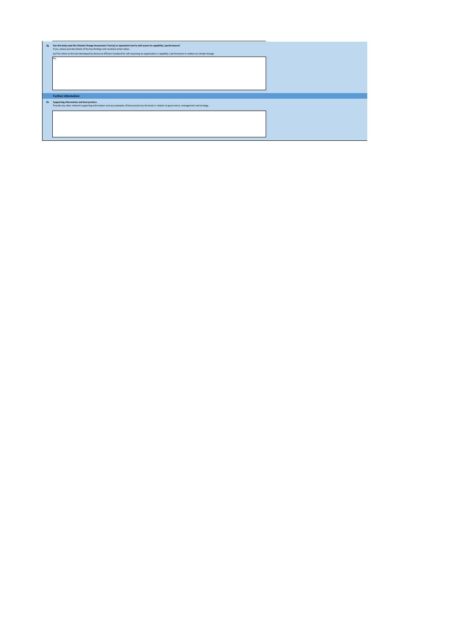| 2g             | Has the body used the Climate Change Assessment Tool (a) or equivalent tool to self-assess its capability / performance?                                          |  |
|----------------|-------------------------------------------------------------------------------------------------------------------------------------------------------------------|--|
|                | If yes, please provide details of the key findings and resultant action taken.                                                                                    |  |
|                | (a) This refers to the tool developed by Resource Efficient Scotland for self-assessing an organisation's capability / performance in relation to climate change. |  |
|                | No                                                                                                                                                                |  |
|                |                                                                                                                                                                   |  |
|                |                                                                                                                                                                   |  |
|                |                                                                                                                                                                   |  |
|                |                                                                                                                                                                   |  |
|                |                                                                                                                                                                   |  |
|                |                                                                                                                                                                   |  |
|                |                                                                                                                                                                   |  |
|                | <b>Further information</b>                                                                                                                                        |  |
| 2 <sub>h</sub> | Supporting information and best practice                                                                                                                          |  |
|                | Provide any other relevant supporting information and any examples of best practice by the body in relation to governance, management and strategy.               |  |
|                |                                                                                                                                                                   |  |
|                |                                                                                                                                                                   |  |
|                |                                                                                                                                                                   |  |
|                |                                                                                                                                                                   |  |
|                |                                                                                                                                                                   |  |
|                |                                                                                                                                                                   |  |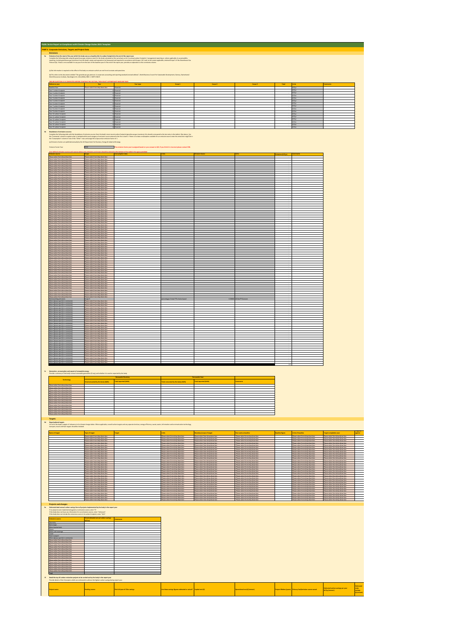| Public Sector Report on Compliance with Climate Change Duties 2021 Template<br><b>PART 3 Corporate Emissions, Targets and Project Data</b>                                                                                          |                                                                                                       |                                                                                                                                                                                                                                   |                                                                                                 |                                                                                                  |                                                                     |                          |                                                                                |                                                                                                   |                            |
|-------------------------------------------------------------------------------------------------------------------------------------------------------------------------------------------------------------------------------------|-------------------------------------------------------------------------------------------------------|-----------------------------------------------------------------------------------------------------------------------------------------------------------------------------------------------------------------------------------|-------------------------------------------------------------------------------------------------|--------------------------------------------------------------------------------------------------|---------------------------------------------------------------------|--------------------------|--------------------------------------------------------------------------------|---------------------------------------------------------------------------------------------------|----------------------------|
| Emissions                                                                                                                                                                                                                           |                                                                                                       |                                                                                                                                                                                                                                   |                                                                                                 |                                                                                                  |                                                                     |                          |                                                                                |                                                                                                   |                            |
|                                                                                                                                                                                                                                     |                                                                                                       | interaction and the market that you are built at building in the out-the market and the special state of the s<br>- Complete this particular than the market particle in the finance of the series in the building of the particl |                                                                                                 |                                                                                                  |                                                                     |                          |                                                                                |                                                                                                   |                            |
|                                                                                                                                                                                                                                     |                                                                                                       |                                                                                                                                                                                                                                   |                                                                                                 |                                                                                                  |                                                                     |                          |                                                                                |                                                                                                   |                            |
| (a) No information is required on the effect of the body on emissions which are not from its estate and operations.                                                                                                                 |                                                                                                       |                                                                                                                                                                                                                                   |                                                                                                 |                                                                                                  |                                                                     |                          |                                                                                |                                                                                                   |                            |
|                                                                                                                                                                                                                                     |                                                                                                       | (b) This refers to the document entitled "The greenbouse gos protocol. A corporate accounting and reporting standard (revised edition)", World Business Council for Sustainable Development, Genera, Seltenland /<br>World Resour |                                                                                                 |                                                                                                  |                                                                     |                          |                                                                                |                                                                                                   |                            |
|                                                                                                                                                                                                                                     |                                                                                                       | Yeartype                                                                                                                                                                                                                          | Scope 1                                                                                         | Scope 2                                                                                          | Scope 3                                                             |                          |                                                                                |                                                                                                   |                            |
| Baseline Year<br>Year 1 carbon footprint                                                                                                                                                                                            | Please select from drop down box                                                                      | Financial<br>ancial                                                                                                                                                                                                               |                                                                                                 |                                                                                                  |                                                                     |                          | tCO <sub>2</sub><br>co <sub>r</sub> e                                          |                                                                                                   |                            |
| Year 2 carbon footprin<br>Year 3 carbon footprint                                                                                                                                                                                   |                                                                                                       | Financial                                                                                                                                                                                                                         |                                                                                                 |                                                                                                  |                                                                     |                          |                                                                                |                                                                                                   |                            |
| Year 4 carbon footprint<br>Year 5 carbon fo                                                                                                                                                                                         |                                                                                                       | latons                                                                                                                                                                                                                            |                                                                                                 |                                                                                                  |                                                                     |                          |                                                                                |                                                                                                   |                            |
| Year 6 carbon footprint<br>Year 7 carbon footprint                                                                                                                                                                                  |                                                                                                       | Inancial<br>hizen                                                                                                                                                                                                                 |                                                                                                 |                                                                                                  |                                                                     |                          |                                                                                |                                                                                                   |                            |
| Year & carbon fo<br>Year 9 carbon footprint                                                                                                                                                                                         |                                                                                                       | Financial                                                                                                                                                                                                                         |                                                                                                 |                                                                                                  |                                                                     |                          |                                                                                |                                                                                                   |                            |
| Year 10 carbon footprint<br>Year 11 carbon for<br>Year 12 carbon footprin                                                                                                                                                           |                                                                                                       | tancial                                                                                                                                                                                                                           |                                                                                                 |                                                                                                  |                                                                     |                          |                                                                                |                                                                                                   |                            |
| Year 12 carbon footprint                                                                                                                                                                                                            |                                                                                                       | laionar                                                                                                                                                                                                                           |                                                                                                 |                                                                                                  |                                                                     |                          |                                                                                |                                                                                                   |                            |
| Year 14 carbon footprint<br>Year 15 carbon footprint                                                                                                                                                                                |                                                                                                       | D Financial                                                                                                                                                                                                                       |                                                                                                 |                                                                                                  |                                                                     |                          |                                                                                |                                                                                                   |                            |
| 2b Breakdown of emissions sources                                                                                                                                                                                                   |                                                                                                       | Complete the following table with the breakdown of emission success that be being in model of the complete the product of the state in the last of the best of the last of the best of the best of the best of the best of the    |                                                                                                 |                                                                                                  |                                                                     |                          |                                                                                |                                                                                                   |                            |
| (a) Emissions factors are published annually by the UK Department for Business, Energy & Industrial Strategy                                                                                                                        |                                                                                                       |                                                                                                                                                                                                                                   |                                                                                                 |                                                                                                  |                                                                     |                          |                                                                                |                                                                                                   |                            |
| Emission Factor Year                                                                                                                                                                                                                | 2020                                                                                                  | The emi<br>sion factor wear is assigned based on your answer to Q1f. If you think it is incorrect please contact SSN.                                                                                                             |                                                                                                 |                                                                                                  |                                                                     |                          |                                                                                |                                                                                                   |                            |
|                                                                                                                                                                                                                                     | uld be i                                                                                              |                                                                                                                                                                                                                                   |                                                                                                 |                                                                                                  |                                                                     |                          |                                                                                |                                                                                                   |                            |
| Please select from drop down box                                                                                                                                                                                                    | Please select from drop down box                                                                      |                                                                                                                                                                                                                                   |                                                                                                 |                                                                                                  |                                                                     | (e <sub>c</sub> O2e) ass |                                                                                |                                                                                                   |                            |
| Please select from drop down box<br>Please select from drop down box                                                                                                                                                                | Please select from drop down bo<br>Please select from drop down box<br>ase select                     |                                                                                                                                                                                                                                   |                                                                                                 |                                                                                                  |                                                                     |                          |                                                                                |                                                                                                   |                            |
|                                                                                                                                                                                                                                     |                                                                                                       |                                                                                                                                                                                                                                   |                                                                                                 |                                                                                                  |                                                                     |                          |                                                                                |                                                                                                   |                            |
| Please select from drop down by<br>Please select from drop down box                                                                                                                                                                 | Please select from drop down by<br>Please select from drop down bo                                    |                                                                                                                                                                                                                                   |                                                                                                 |                                                                                                  |                                                                     |                          |                                                                                |                                                                                                   |                            |
| Please select from drop down box<br>ase select from drop do                                                                                                                                                                         | Please select from drop down bo<br>asse select from drop do                                           |                                                                                                                                                                                                                                   |                                                                                                 |                                                                                                  |                                                                     |                          |                                                                                |                                                                                                   |                            |
| Please select from drop down box<br>Please select from drop down box<br>ue select from drop down bo:                                                                                                                                | Please select from drop down box<br>Please select from drop down box<br>ease select from drop down bo |                                                                                                                                                                                                                                   |                                                                                                 |                                                                                                  |                                                                     |                          |                                                                                |                                                                                                   |                            |
|                                                                                                                                                                                                                                     | ase select t<br>ase select from drop down i                                                           |                                                                                                                                                                                                                                   |                                                                                                 |                                                                                                  |                                                                     |                          |                                                                                |                                                                                                   |                            |
|                                                                                                                                                                                                                                     |                                                                                                       |                                                                                                                                                                                                                                   |                                                                                                 |                                                                                                  |                                                                     |                          |                                                                                |                                                                                                   |                            |
| Please select from drop down bo<br>Please select from drop down box                                                                                                                                                                 | Please select from drop down bo<br>ease select from drop down bo                                      |                                                                                                                                                                                                                                   |                                                                                                 |                                                                                                  |                                                                     |                          |                                                                                |                                                                                                   |                            |
| Please select from dro<br>Please select from drop down box<br>Please select from drop down box                                                                                                                                      | ease select from drop<br>lease select from drop down box<br>Please select from drop down box          |                                                                                                                                                                                                                                   |                                                                                                 |                                                                                                  |                                                                     |                          |                                                                                |                                                                                                   |                            |
| ue select from drop down bo:<br>usse select from drop down box                                                                                                                                                                      | ase select from drop down bo<br>Please select from drop down box                                      |                                                                                                                                                                                                                                   |                                                                                                 |                                                                                                  |                                                                     |                          |                                                                                |                                                                                                   |                            |
| m drop down bo:                                                                                                                                                                                                                     | ase select f                                                                                          |                                                                                                                                                                                                                                   |                                                                                                 |                                                                                                  |                                                                     |                          |                                                                                |                                                                                                   |                            |
| Please select from drop down bo                                                                                                                                                                                                     | Diesse selact from down down by                                                                       |                                                                                                                                                                                                                                   |                                                                                                 |                                                                                                  |                                                                     |                          |                                                                                |                                                                                                   |                            |
| Please select from drop down box<br>Please select from drop down bo:                                                                                                                                                                | Please select from drop down bo<br>Please select from drop down bo                                    |                                                                                                                                                                                                                                   |                                                                                                 |                                                                                                  |                                                                     |                          |                                                                                |                                                                                                   |                            |
| ue select from drop do<br>Please select from drop down box<br>Please select from drop down box                                                                                                                                      | ase select from drop do<br>Please select from drop down box<br>Yease select from drop down box        |                                                                                                                                                                                                                                   |                                                                                                 |                                                                                                  |                                                                     |                          |                                                                                |                                                                                                   |                            |
| ue select from drop down bo:                                                                                                                                                                                                        | ease select from drop down bo<br>ase select t<br>ase select from drop down I                          |                                                                                                                                                                                                                                   |                                                                                                 |                                                                                                  |                                                                     |                          |                                                                                |                                                                                                   |                            |
|                                                                                                                                                                                                                                     |                                                                                                       |                                                                                                                                                                                                                                   |                                                                                                 |                                                                                                  |                                                                     |                          |                                                                                |                                                                                                   |                            |
| Please select from drop down bo                                                                                                                                                                                                     | Please select from drop down bo                                                                       |                                                                                                                                                                                                                                   |                                                                                                 |                                                                                                  |                                                                     |                          |                                                                                |                                                                                                   |                            |
| Please select from drop down box<br>Please select from dro                                                                                                                                                                          | ease select from drop down bo<br>ease select from drop                                                |                                                                                                                                                                                                                                   |                                                                                                 |                                                                                                  |                                                                     |                          |                                                                                |                                                                                                   |                            |
| Please select from drop down box<br>Please select from drop down box<br>ue select from drop down bo:                                                                                                                                | lease select from drop down box<br>Yease select from drop down box<br>ase select from drop down bo    |                                                                                                                                                                                                                                   |                                                                                                 |                                                                                                  |                                                                     |                          |                                                                                |                                                                                                   |                            |
| ase select from drop down box                                                                                                                                                                                                       | Please select from drop down box<br>ase select f                                                      |                                                                                                                                                                                                                                   |                                                                                                 |                                                                                                  |                                                                     |                          |                                                                                |                                                                                                   |                            |
|                                                                                                                                                                                                                                     |                                                                                                       |                                                                                                                                                                                                                                   |                                                                                                 |                                                                                                  |                                                                     |                          |                                                                                |                                                                                                   |                            |
|                                                                                                                                                                                                                                     | Please select from drop down b                                                                        |                                                                                                                                                                                                                                   |                                                                                                 |                                                                                                  |                                                                     |                          |                                                                                |                                                                                                   |                            |
| ase select from drop down b<br>Please select from drop down box                                                                                                                                                                     | ease select from drop down bo<br>ase select from drop do<br>Yease select from drop down box           |                                                                                                                                                                                                                                   |                                                                                                 |                                                                                                  |                                                                     |                          |                                                                                |                                                                                                   |                            |
| Please select from drop down box<br>ue select from drop down box                                                                                                                                                                    | Yease select from drop down box<br>ease select from drop down bay                                     |                                                                                                                                                                                                                                   |                                                                                                 |                                                                                                  |                                                                     |                          |                                                                                |                                                                                                   |                            |
| r (please specify in comm                                                                                                                                                                                                           | opa I<br>ase select from drop down b                                                                  |                                                                                                                                                                                                                                   |                                                                                                 |                                                                                                  |                                                                     |                          |                                                                                |                                                                                                   |                            |
|                                                                                                                                                                                                                                     |                                                                                                       |                                                                                                                                                                                                                                   |                                                                                                 |                                                                                                  |                                                                     |                          |                                                                                |                                                                                                   |                            |
| Other (please specify in comment)<br>Other (please specify in comment                                                                                                                                                               | Please select from drop down bo<br>ease select from drop down bo                                      |                                                                                                                                                                                                                                   |                                                                                                 |                                                                                                  |                                                                     |                          |                                                                                |                                                                                                   |                            |
| Other (please specify in comments)<br>Other (please specify in comments)                                                                                                                                                            | ase select from a<br>lease select from drop down box<br>Yease select from drop down box               |                                                                                                                                                                                                                                   |                                                                                                 |                                                                                                  |                                                                     |                          |                                                                                |                                                                                                   |                            |
| her (please specify in comments                                                                                                                                                                                                     | ase select from drop down bo<br>Please select from drop down box                                      |                                                                                                                                                                                                                                   |                                                                                                 |                                                                                                  |                                                                     |                          |                                                                                |                                                                                                   |                            |
| r (please specify in 1                                                                                                                                                                                                              | ase select f                                                                                          |                                                                                                                                                                                                                                   |                                                                                                 |                                                                                                  |                                                                     |                          |                                                                                |                                                                                                   |                            |
|                                                                                                                                                                                                                                     |                                                                                                       |                                                                                                                                                                                                                                   |                                                                                                 |                                                                                                  |                                                                     |                          |                                                                                |                                                                                                   |                            |
|                                                                                                                                                                                                                                     | <b>Sease select from dong down I</b><br>ase select from drop down b<br>ssa salact finos deno de       |                                                                                                                                                                                                                                   |                                                                                                 |                                                                                                  |                                                                     |                          |                                                                                |                                                                                                   |                            |
| Other (please specify in comments)<br>Other (please specify in comments)                                                                                                                                                            | lease select from drop down bax<br>lease select from drop down bax                                    |                                                                                                                                                                                                                                   |                                                                                                 |                                                                                                  |                                                                     |                          |                                                                                |                                                                                                   |                            |
| r (please specify in con                                                                                                                                                                                                            | ase select from drop down b<br>ase select<br>ase select f                                             |                                                                                                                                                                                                                                   |                                                                                                 |                                                                                                  |                                                                     |                          |                                                                                |                                                                                                   |                            |
|                                                                                                                                                                                                                                     |                                                                                                       |                                                                                                                                                                                                                                   |                                                                                                 |                                                                                                  |                                                                     |                          |                                                                                |                                                                                                   |                            |
|                                                                                                                                                                                                                                     |                                                                                                       |                                                                                                                                                                                                                                   |                                                                                                 |                                                                                                  |                                                                     |                          |                                                                                |                                                                                                   |                            |
| 3c Generation, consumption and export of renewable energy<br>Provide a summary of the body's annual renewable generation (if any), and whether it is used or exported by the body.                                                  |                                                                                                       |                                                                                                                                                                                                                                   |                                                                                                 |                                                                                                  |                                                                     |                          |                                                                                |                                                                                                   |                            |
| Technology                                                                                                                                                                                                                          |                                                                                                       |                                                                                                                                                                                                                                   |                                                                                                 |                                                                                                  |                                                                     |                          |                                                                                |                                                                                                   |                            |
|                                                                                                                                                                                                                                     | Total consumed by the body (XWh) Total exported (XWh)                                                 |                                                                                                                                                                                                                                   | otal consumed by the body (kWh)                                                                 | <b>Total exported (kWh)</b>                                                                      | Comments                                                            |                          |                                                                                |                                                                                                   |                            |
|                                                                                                                                                                                                                                     |                                                                                                       |                                                                                                                                                                                                                                   |                                                                                                 |                                                                                                  |                                                                     |                          |                                                                                |                                                                                                   |                            |
|                                                                                                                                                                                                                                     |                                                                                                       |                                                                                                                                                                                                                                   |                                                                                                 |                                                                                                  |                                                                     |                          |                                                                                |                                                                                                   |                            |
| <b>Clease select from doon down box</b><br>Please select from drop down bo                                                                                                                                                          |                                                                                                       |                                                                                                                                                                                                                                   |                                                                                                 |                                                                                                  |                                                                     |                          |                                                                                |                                                                                                   |                            |
| Please select from drop<br>Please select from drop down box<br>Please select from drop down box                                                                                                                                     |                                                                                                       |                                                                                                                                                                                                                                   |                                                                                                 |                                                                                                  |                                                                     |                          |                                                                                |                                                                                                   |                            |
| Please select from drop down box                                                                                                                                                                                                    |                                                                                                       |                                                                                                                                                                                                                                   |                                                                                                 |                                                                                                  |                                                                     |                          |                                                                                |                                                                                                   |                            |
| <b>Targets</b>                                                                                                                                                                                                                      |                                                                                                       |                                                                                                                                                                                                                                   |                                                                                                 |                                                                                                  |                                                                     |                          |                                                                                |                                                                                                   |                            |
| 2d Oganisational targets                                                                                                                                                                                                            |                                                                                                       | List all of the body's targets of relevance to its climate change daties. Where applicable, overall carbon targets and any separate land use, energy efficiency, waste, water, information and communication technology,<br>trans |                                                                                                 |                                                                                                  |                                                                     |                          |                                                                                |                                                                                                   |                            |
| ne of target                                                                                                                                                                                                                        | Type of target                                                                                        | Target                                                                                                                                                                                                                            |                                                                                                 | undary/scope of target                                                                           | ar used as baseline                                                 | oline figure             | nits of baselin                                                                |                                                                                                   |                            |
|                                                                                                                                                                                                                                     | <b>Tease select fr</b>                                                                                |                                                                                                                                                                                                                                   | raso selec<br>s drog down be                                                                    | ase select from drop dow                                                                         | Please salect<br>m drop down b                                      |                          |                                                                                | ease select from drop do                                                                          |                            |
|                                                                                                                                                                                                                                     |                                                                                                       |                                                                                                                                                                                                                                   |                                                                                                 |                                                                                                  |                                                                     |                          |                                                                                |                                                                                                   |                            |
|                                                                                                                                                                                                                                     | lease select from drop down by<br>ease select from drop down b<br>ase select from drop do             |                                                                                                                                                                                                                                   | hom drop down b<br>ase select from drop down be                                                 | ase select from drop down I<br>ase select from drop down be<br>se select from drop d             | use select from drop down b                                         |                          | ease select from drop down<br>ma salari finni daya daya.<br>se select from dro | lease sele<br>ease select from drop down<br>nase sele                                             |                            |
|                                                                                                                                                                                                                                     | Hease select from drop down box<br>lease select from drop down box                                    |                                                                                                                                                                                                                                   | fease select from drop down box<br>lease select from drop down box                              | lease select from drop down box<br>ease select from drop down box                                | Please select from drop down box<br>fease select from drop down box |                          | lease select from drop down box<br>lease select from drop down box             | lease select from drop down box<br>lease select from drop down bax                                |                            |
|                                                                                                                                                                                                                                     | ase select from drop down<br>ease select from drop down b                                             |                                                                                                                                                                                                                                   | sse select from drop down be<br>ase select from drop down bo<br>n drop down bi                  | ue select from drop down<br>sse select from drop down b                                          |                                                                     |                          | ase select from drop down b<br>use wiect from drop down b<br>rs drop down      | ease select from drop down<br>lease select from drop down bo<br>rase selei                        |                            |
|                                                                                                                                                                                                                                     |                                                                                                       |                                                                                                                                                                                                                                   |                                                                                                 | e select from drop dow<br>e select from drop dow<br>.                                            |                                                                     |                          |                                                                                |                                                                                                   |                            |
|                                                                                                                                                                                                                                     | Please select from drop down bo                                                                       |                                                                                                                                                                                                                                   | lease select from drop down bo                                                                  | lease select from drop down bo                                                                   | Please select from drop down bo                                     |                          | lease select from drop down bo                                                 | lease select from drop down bo                                                                    |                            |
|                                                                                                                                                                                                                                     | ase select from drop down bo<br>lease select from drop down bo                                        |                                                                                                                                                                                                                                   | ase select from drop down bo<br>lease select from drop down box                                 | ase select from drop down bo<br>ue select from de<br>rase select from drop down box              | use select from drop down by<br>Please select from drop down box    |                          | use select from drop down by<br>lease select from drop down box                | sase select from drop down bo<br>lease select from drop down box                                  |                            |
|                                                                                                                                                                                                                                     | lease select from drop down box<br>Please select from drop down bo                                    |                                                                                                                                                                                                                                   | lease select from drop down box<br>sse select from drop down bo<br>ase select from drop down bo | lease select from drop down box<br>ase select from drop down bo<br>ase select from drop down bor | Please select from drop down box<br>Please select from drop down bo |                          | lease select from drop down box<br>ease select from drop down bo               | lease select from drop down box<br>ase select from drop down bo<br>lease select from drop down ba |                            |
|                                                                                                                                                                                                                                     |                                                                                                       |                                                                                                                                                                                                                                   |                                                                                                 |                                                                                                  |                                                                     |                          |                                                                                | ase selec<br>358.1                                                                                |                            |
|                                                                                                                                                                                                                                     |                                                                                                       |                                                                                                                                                                                                                                   |                                                                                                 |                                                                                                  |                                                                     |                          |                                                                                |                                                                                                   |                            |
| <b>Projects and changes</b>                                                                                                                                                                                                         |                                                                                                       |                                                                                                                                                                                                                                   |                                                                                                 |                                                                                                  |                                                                     |                          |                                                                                |                                                                                                   |                            |
| 2e Estimated total annual carbon savings from all projects implemented by the body in the report year                                                                                                                               |                                                                                                       |                                                                                                                                                                                                                                   |                                                                                                 |                                                                                                  |                                                                     |                          |                                                                                |                                                                                                   |                            |
| If no projects were implemented against an emissions source, enter "0".<br>If the body does not have any information for an emissions source, enter "0".<br>If the body does not include the emissions source in its carbon footpri |                                                                                                       |                                                                                                                                                                                                                                   |                                                                                                 |                                                                                                  |                                                                     |                          |                                                                                |                                                                                                   |                            |
| extent ancient                                                                                                                                                                                                                      | co <sub>r</sub> e)                                                                                    | <b>Iomments</b>                                                                                                                                                                                                                   |                                                                                                 |                                                                                                  |                                                                     |                          |                                                                                |                                                                                                   |                            |
| er heating fuels                                                                                                                                                                                                                    |                                                                                                       |                                                                                                                                                                                                                                   |                                                                                                 |                                                                                                  |                                                                     |                          |                                                                                |                                                                                                   |                            |
| er and sews                                                                                                                                                                                                                         |                                                                                                       |                                                                                                                                                                                                                                   |                                                                                                 |                                                                                                  |                                                                     |                          |                                                                                |                                                                                                   |                            |
| t transp<br>specify in comm                                                                                                                                                                                                         |                                                                                                       |                                                                                                                                                                                                                                   |                                                                                                 |                                                                                                  |                                                                     |                          |                                                                                |                                                                                                   |                            |
| Please select from drop down box<br>Please select from drop down box<br>se select from drop dow                                                                                                                                     |                                                                                                       |                                                                                                                                                                                                                                   |                                                                                                 |                                                                                                  |                                                                     |                          |                                                                                |                                                                                                   |                            |
| ase select from drop down bo:                                                                                                                                                                                                       |                                                                                                       |                                                                                                                                                                                                                                   |                                                                                                 |                                                                                                  |                                                                     |                          |                                                                                |                                                                                                   |                            |
|                                                                                                                                                                                                                                     |                                                                                                       |                                                                                                                                                                                                                                   |                                                                                                 |                                                                                                  |                                                                     |                          |                                                                                |                                                                                                   |                            |
| Please select from drop down bo<br>Please select from drop down bo                                                                                                                                                                  |                                                                                                       |                                                                                                                                                                                                                                   |                                                                                                 |                                                                                                  |                                                                     |                          |                                                                                |                                                                                                   |                            |
| Please select from dro-<br>Please select from drop down box<br>Please select from drop down box                                                                                                                                     |                                                                                                       |                                                                                                                                                                                                                                   |                                                                                                 |                                                                                                  |                                                                     |                          |                                                                                |                                                                                                   |                            |
| ue select from drop down box<br>Total                                                                                                                                                                                               |                                                                                                       |                                                                                                                                                                                                                                   |                                                                                                 |                                                                                                  |                                                                     |                          |                                                                                |                                                                                                   |                            |
| 2f Detail the top 10 carbon reduction projects to be carried out by the body in the report year<br>Provide details of the 10 projects which are esti                                                                                | we the highest carbon savings during report year                                                      |                                                                                                                                                                                                                                   |                                                                                                 |                                                                                                  |                                                                     |                          |                                                                                |                                                                                                   |                            |
|                                                                                                                                                                                                                                     |                                                                                                       |                                                                                                                                                                                                                                   |                                                                                                 |                                                                                                  |                                                                     |                          |                                                                                |                                                                                                   |                            |
| ject name                                                                                                                                                                                                                           | <b>Funding source</b>                                                                                 | <b>Rint full year of CO<sub>2</sub>e savings</b>                                                                                                                                                                                  | e these savings figures estimated or actual?                                                    | Capital cost (4)                                                                                 | onal cost (4/annum)                                                 | oject Ifetime (years     | Imary fuel/emission source saved                                               | stimated carbon savings per year<br>(munst) e <sub>(O</sub> )                                     | stimated<br>osts<br>avings |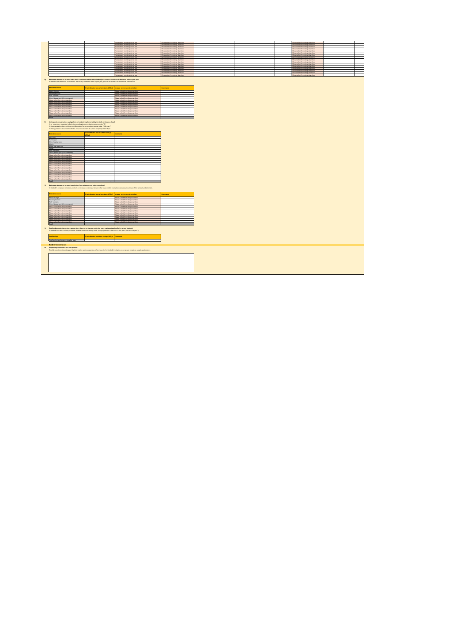|                                                                                                                                                                                                                                                                                                                                                                                              |                                                                 | Please select from drop down box                                                                                                                                                                                                                           | Please select from drop down box                                    |
|----------------------------------------------------------------------------------------------------------------------------------------------------------------------------------------------------------------------------------------------------------------------------------------------------------------------------------------------------------------------------------------------|-----------------------------------------------------------------|------------------------------------------------------------------------------------------------------------------------------------------------------------------------------------------------------------------------------------------------------------|---------------------------------------------------------------------|
|                                                                                                                                                                                                                                                                                                                                                                                              |                                                                 | Please select from drop down box                                                                                                                                                                                                                           | fease select from drop down box                                     |
|                                                                                                                                                                                                                                                                                                                                                                                              |                                                                 | Please select from drop down box<br>Please select from drop down box                                                                                                                                                                                       | fease select from drop down bor<br>Please select from drop down box |
|                                                                                                                                                                                                                                                                                                                                                                                              |                                                                 | Please select from drop down box                                                                                                                                                                                                                           | Please select from drop down box                                    |
|                                                                                                                                                                                                                                                                                                                                                                                              |                                                                 | Please select from drop down box                                                                                                                                                                                                                           | use select from drop down box                                       |
|                                                                                                                                                                                                                                                                                                                                                                                              |                                                                 | Please select from drop down box                                                                                                                                                                                                                           | Please select from drop down box                                    |
|                                                                                                                                                                                                                                                                                                                                                                                              |                                                                 | Diesse select from doon down how                                                                                                                                                                                                                           | Diagon salary from drop down how                                    |
|                                                                                                                                                                                                                                                                                                                                                                                              |                                                                 | Please select from drop down box                                                                                                                                                                                                                           | Please select from drop down box                                    |
|                                                                                                                                                                                                                                                                                                                                                                                              |                                                                 | Please select from drop down box<br>Please select from drop down box                                                                                                                                                                                       | fease select from drop down box<br>Please select from drop down box |
|                                                                                                                                                                                                                                                                                                                                                                                              |                                                                 | Please select from drop down box                                                                                                                                                                                                                           | lease select from drop down bo                                      |
|                                                                                                                                                                                                                                                                                                                                                                                              |                                                                 | Diesse select from doop down how                                                                                                                                                                                                                           | Diagon salary from drop drawbay                                     |
|                                                                                                                                                                                                                                                                                                                                                                                              |                                                                 | Please select from drop down box                                                                                                                                                                                                                           | Please select from drop down box                                    |
|                                                                                                                                                                                                                                                                                                                                                                                              |                                                                 | Please select from drop down box                                                                                                                                                                                                                           | use select from drop down box                                       |
|                                                                                                                                                                                                                                                                                                                                                                                              |                                                                 | Please select from drop down box                                                                                                                                                                                                                           | Please select from drop down box                                    |
| 3g Estimated decrease or increase in the body's emissions attributed to factors (not reported elsewhere in this form) in the report year                                                                                                                                                                                                                                                     |                                                                 |                                                                                                                                                                                                                                                            |                                                                     |
| If the emissions increased or decreased due to any such factor in the regort year, grovide an estimate of the amount and direction<br>missions source<br>Estate changes<br>Service provision<br>zednun Hush<br>Other (please specify in comments)<br>Please select from drop down box<br>Diesse select from dosp.down how                                                                    | Total estimated annual emissions (tCO <sub>)</sub> e)           | Increase or decrease in emissions<br>Please select from drop down box<br>Please select from drop down box<br>Please select from drop down box<br>Please select from drop down how<br>Please select from drop down box<br>Diesse select from days down have | <b>stown de</b>                                                     |
| Please select from drop down bo:                                                                                                                                                                                                                                                                                                                                                             |                                                                 | Please select from drop down box                                                                                                                                                                                                                           |                                                                     |
| Please select from drop down bo                                                                                                                                                                                                                                                                                                                                                              |                                                                 | Please select from drop down bo                                                                                                                                                                                                                            |                                                                     |
| Please select from drop down box<br>Please select from drop down box                                                                                                                                                                                                                                                                                                                         |                                                                 | Please select from drop down box<br>Please select from drop down box                                                                                                                                                                                       |                                                                     |
| Please select from drop down box                                                                                                                                                                                                                                                                                                                                                             |                                                                 | Please select from drop down box                                                                                                                                                                                                                           |                                                                     |
| ue select from drop down b                                                                                                                                                                                                                                                                                                                                                                   |                                                                 | Please select from drop down bo                                                                                                                                                                                                                            |                                                                     |
| Total                                                                                                                                                                                                                                                                                                                                                                                        |                                                                 |                                                                                                                                                                                                                                                            |                                                                     |
| 3h Anticipated annual carbon savings from all projects implemented by the body in the year ahead<br>If no projects are expected to be implemented against an emissions source, enter "Q".<br>If the organisation does not have any information for an emissions source, enter "Linknown".<br>If the organisation does not include the emissions source in its carbon footprint, enter "N/A". | Total estimated annual carbon savings                           |                                                                                                                                                                                                                                                            |                                                                     |
| missions source                                                                                                                                                                                                                                                                                                                                                                              |                                                                 | <b>Commands</b>                                                                                                                                                                                                                                            |                                                                     |
| Electricity                                                                                                                                                                                                                                                                                                                                                                                  |                                                                 |                                                                                                                                                                                                                                                            |                                                                     |
| Natural gas                                                                                                                                                                                                                                                                                                                                                                                  |                                                                 |                                                                                                                                                                                                                                                            |                                                                     |
| Other heating fuels                                                                                                                                                                                                                                                                                                                                                                          |                                                                 |                                                                                                                                                                                                                                                            |                                                                     |
| Waste<br>Water and sewerage                                                                                                                                                                                                                                                                                                                                                                  |                                                                 |                                                                                                                                                                                                                                                            |                                                                     |
|                                                                                                                                                                                                                                                                                                                                                                                              |                                                                 |                                                                                                                                                                                                                                                            |                                                                     |
| Fleet Transport                                                                                                                                                                                                                                                                                                                                                                              |                                                                 |                                                                                                                                                                                                                                                            |                                                                     |
| Other (please specify in comments)                                                                                                                                                                                                                                                                                                                                                           |                                                                 |                                                                                                                                                                                                                                                            |                                                                     |
| Please select from drop down bo                                                                                                                                                                                                                                                                                                                                                              |                                                                 |                                                                                                                                                                                                                                                            |                                                                     |
| Please select from drop down                                                                                                                                                                                                                                                                                                                                                                 |                                                                 |                                                                                                                                                                                                                                                            |                                                                     |
| Please select from drop down box                                                                                                                                                                                                                                                                                                                                                             |                                                                 |                                                                                                                                                                                                                                                            |                                                                     |
| Please select from drop down box                                                                                                                                                                                                                                                                                                                                                             |                                                                 |                                                                                                                                                                                                                                                            |                                                                     |
|                                                                                                                                                                                                                                                                                                                                                                                              |                                                                 |                                                                                                                                                                                                                                                            |                                                                     |
| Please select from drop down box                                                                                                                                                                                                                                                                                                                                                             |                                                                 |                                                                                                                                                                                                                                                            |                                                                     |
| Please select from drop down box<br>Please select from drop down box                                                                                                                                                                                                                                                                                                                         |                                                                 |                                                                                                                                                                                                                                                            |                                                                     |
| Diesse select from dosp down hor                                                                                                                                                                                                                                                                                                                                                             |                                                                 |                                                                                                                                                                                                                                                            |                                                                     |
| Please select from drop down box                                                                                                                                                                                                                                                                                                                                                             |                                                                 |                                                                                                                                                                                                                                                            |                                                                     |
| Please select from drop down box                                                                                                                                                                                                                                                                                                                                                             |                                                                 |                                                                                                                                                                                                                                                            |                                                                     |
| rase select from drop down bo                                                                                                                                                                                                                                                                                                                                                                |                                                                 |                                                                                                                                                                                                                                                            |                                                                     |
| Please select from drop down box                                                                                                                                                                                                                                                                                                                                                             |                                                                 |                                                                                                                                                                                                                                                            |                                                                     |
| Total<br>31 Estimated decrease or increase in emissions from other sources in the year ahead                                                                                                                                                                                                                                                                                                 |                                                                 | If the body's corporate emissions are likely to increase or decrease for any other reason in the year ahead, provide an estimate of the amount and direction.                                                                                              |                                                                     |
| missions source                                                                                                                                                                                                                                                                                                                                                                              |                                                                 |                                                                                                                                                                                                                                                            |                                                                     |
|                                                                                                                                                                                                                                                                                                                                                                                              | Total estimated annual emissions (tCO <sub>3</sub> e)           | Increase or decrease in emissions                                                                                                                                                                                                                          | amments                                                             |
| Estate changes                                                                                                                                                                                                                                                                                                                                                                               |                                                                 | Please select from drop down box                                                                                                                                                                                                                           |                                                                     |
| Service provision<br>Staff number                                                                                                                                                                                                                                                                                                                                                            |                                                                 | Please select from drop down box<br>Please select from drop down box                                                                                                                                                                                       |                                                                     |
| Other (please specify in comments)                                                                                                                                                                                                                                                                                                                                                           |                                                                 | Please select from drop down box                                                                                                                                                                                                                           |                                                                     |
| Diesse select from dosp.down how.                                                                                                                                                                                                                                                                                                                                                            |                                                                 | Please salary from drop down how                                                                                                                                                                                                                           |                                                                     |
| Please select from drop down box                                                                                                                                                                                                                                                                                                                                                             |                                                                 | Please select from drop down box                                                                                                                                                                                                                           |                                                                     |
| Please select from drop down box                                                                                                                                                                                                                                                                                                                                                             |                                                                 | Please select from drop down box                                                                                                                                                                                                                           |                                                                     |
| Please select from drop down box                                                                                                                                                                                                                                                                                                                                                             |                                                                 | Please select from drop down box                                                                                                                                                                                                                           |                                                                     |
| Diesse select from dosp down hor<br>Please select from drop down box                                                                                                                                                                                                                                                                                                                         |                                                                 | Please select from drop down hour<br>Please select from drop down box                                                                                                                                                                                      |                                                                     |
| Please select from drop down box                                                                                                                                                                                                                                                                                                                                                             |                                                                 | Please select from drop down box                                                                                                                                                                                                                           |                                                                     |
| ase select from drop down box                                                                                                                                                                                                                                                                                                                                                                |                                                                 | Please select from drop down box                                                                                                                                                                                                                           |                                                                     |
| Total<br>31 Total carbon reduction project savings since the start of the year which the body used as a baseline for its carbon footprint<br>If the body has data available, estimate the total emissions savings made from projects since the start of that year ("the baseline year").<br>Total savings<br>Total project savings since baseline year                                       | Total estimated emissions savings (tCO <sub>3</sub> e) Comments |                                                                                                                                                                                                                                                            |                                                                     |
|                                                                                                                                                                                                                                                                                                                                                                                              |                                                                 |                                                                                                                                                                                                                                                            |                                                                     |
| <b>Further information</b>                                                                                                                                                                                                                                                                                                                                                                   |                                                                 |                                                                                                                                                                                                                                                            |                                                                     |
| 1k Supporting information and best practice                                                                                                                                                                                                                                                                                                                                                  |                                                                 |                                                                                                                                                                                                                                                            |                                                                     |
|                                                                                                                                                                                                                                                                                                                                                                                              |                                                                 | Provide any other relevant supporting information and any examples of best practice by the body in relation to corporate emissions, targets and projects.                                                                                                  |                                                                     |
|                                                                                                                                                                                                                                                                                                                                                                                              |                                                                 |                                                                                                                                                                                                                                                            |                                                                     |
|                                                                                                                                                                                                                                                                                                                                                                                              |                                                                 |                                                                                                                                                                                                                                                            |                                                                     |
|                                                                                                                                                                                                                                                                                                                                                                                              |                                                                 |                                                                                                                                                                                                                                                            |                                                                     |
|                                                                                                                                                                                                                                                                                                                                                                                              |                                                                 |                                                                                                                                                                                                                                                            |                                                                     |
|                                                                                                                                                                                                                                                                                                                                                                                              |                                                                 |                                                                                                                                                                                                                                                            |                                                                     |
|                                                                                                                                                                                                                                                                                                                                                                                              |                                                                 |                                                                                                                                                                                                                                                            |                                                                     |
|                                                                                                                                                                                                                                                                                                                                                                                              |                                                                 |                                                                                                                                                                                                                                                            |                                                                     |
|                                                                                                                                                                                                                                                                                                                                                                                              |                                                                 |                                                                                                                                                                                                                                                            |                                                                     |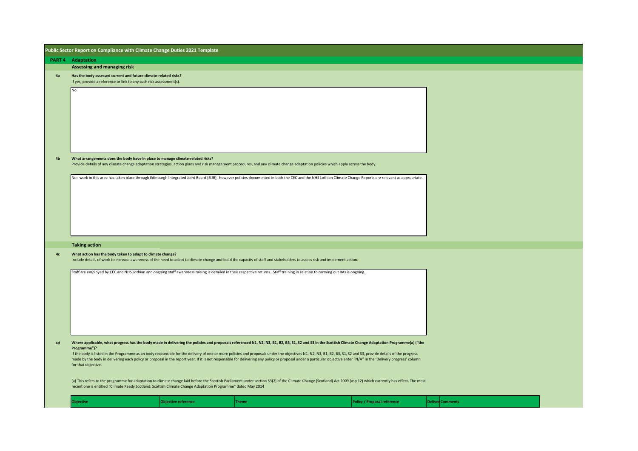|                | Public Sector Report on Compliance with Climate Change Duties 2021 Template                                                                                                                                                                                         |              |                                                                                                                                                                                                                                                                                                                                                                                                                                                                                                                                                                                                                                                      |                         |  |
|----------------|---------------------------------------------------------------------------------------------------------------------------------------------------------------------------------------------------------------------------------------------------------------------|--------------|------------------------------------------------------------------------------------------------------------------------------------------------------------------------------------------------------------------------------------------------------------------------------------------------------------------------------------------------------------------------------------------------------------------------------------------------------------------------------------------------------------------------------------------------------------------------------------------------------------------------------------------------------|-------------------------|--|
|                | <b>PART 4 Adaptation</b>                                                                                                                                                                                                                                            |              |                                                                                                                                                                                                                                                                                                                                                                                                                                                                                                                                                                                                                                                      |                         |  |
|                | Assessing and managing risk                                                                                                                                                                                                                                         |              |                                                                                                                                                                                                                                                                                                                                                                                                                                                                                                                                                                                                                                                      |                         |  |
| 4a             | Has the body assessed current and future climate-related risks?<br>If yes, provide a reference or link to any such risk assessment(s).                                                                                                                              |              |                                                                                                                                                                                                                                                                                                                                                                                                                                                                                                                                                                                                                                                      |                         |  |
|                | No                                                                                                                                                                                                                                                                  |              |                                                                                                                                                                                                                                                                                                                                                                                                                                                                                                                                                                                                                                                      |                         |  |
| 4 <sub>b</sub> | What arrangements does the body have in place to manage climate-related risks?<br>Provide details of any climate change adaptation strategies, action plans and risk management procedures, and any climate change adaptation policies which apply across the body. |              |                                                                                                                                                                                                                                                                                                                                                                                                                                                                                                                                                                                                                                                      |                         |  |
|                |                                                                                                                                                                                                                                                                     |              | No: work in this area has taken place through Edinburgh Integrated Joint Board (EIJB), however policies documented in both the CEC and the NHS Lothian Climate Change Reports are relevant as appropriate.                                                                                                                                                                                                                                                                                                                                                                                                                                           |                         |  |
|                | <b>Taking action</b>                                                                                                                                                                                                                                                |              |                                                                                                                                                                                                                                                                                                                                                                                                                                                                                                                                                                                                                                                      |                         |  |
| 4 <sub>c</sub> | What action has the body taken to adapt to climate change?<br>Include details of work to increase awareness of the need to adapt to climate change and build the capacity of staff and stakeholders to assess risk and implement action.                            |              |                                                                                                                                                                                                                                                                                                                                                                                                                                                                                                                                                                                                                                                      |                         |  |
|                | Staff are employed by CEC and NHS Lothian and ongoing staff awareness raising is detailed in their respective returns. Staff training in relation to carrying out IIAs is ongoing.                                                                                  |              |                                                                                                                                                                                                                                                                                                                                                                                                                                                                                                                                                                                                                                                      |                         |  |
| $4d$           | Programme")?<br>for that objective.                                                                                                                                                                                                                                 |              | Where applicable, what progress has the body made in delivering the policies and proposals referenced N1, N2, N3, B1, B2, B3, S1, S2 and S3 in the Scottish Climate Change Adaptation Programme(a) ("the<br>If the body is listed in the Programme as an body responsible for the delivery of one or more policies and proposals under the objectives N1, N2, N3, B1, B2, B3, S1, S2 and S3, provide details of the progress<br>made by the body in delivering each policy or proposal in the report year. If it is not responsible for delivering any policy or proposal under a particular objective enter "N/A" in the 'Delivery progress' column |                         |  |
|                | recent one is entitled "Climate Ready Scotland: Scottish Climate Change Adaptation Programme" dated May 2014                                                                                                                                                        |              | (a) This refers to the programme for adaptation to climate change laid before the Scottish Parliament under section 53(2) of the Climate Change (Scotland) Act 2009 (asp 12) which currently has effect. The most                                                                                                                                                                                                                                                                                                                                                                                                                                    |                         |  |
|                | <b>Objective</b><br><b>Objective reference</b>                                                                                                                                                                                                                      | <b>Theme</b> | <b>Policy / Proposal reference</b>                                                                                                                                                                                                                                                                                                                                                                                                                                                                                                                                                                                                                   | <b>Deliver Comments</b> |  |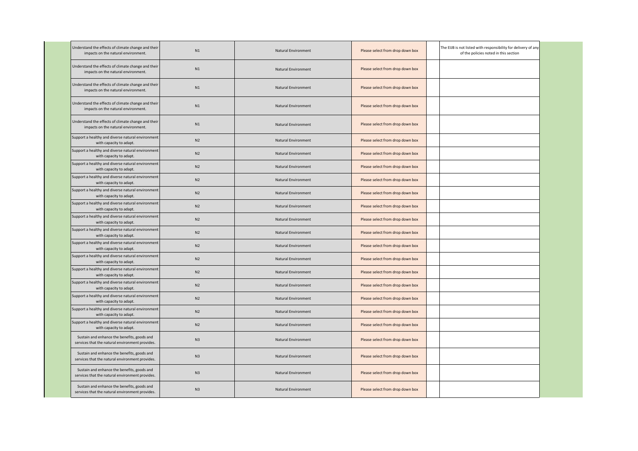| Understand the effects of climate change and their<br>impacts on the natural environment.      | N1             | Natural Environment        | Please select from drop down box | The EIJB is not listed with responsibility for delivery of any<br>of the policies noted in this section |
|------------------------------------------------------------------------------------------------|----------------|----------------------------|----------------------------------|---------------------------------------------------------------------------------------------------------|
| Understand the effects of climate change and their<br>impacts on the natural environment.      | N1             | Natural Environment        | Please select from drop down box |                                                                                                         |
| Understand the effects of climate change and their<br>impacts on the natural environment.      | N1             | Natural Environment        | Please select from drop down box |                                                                                                         |
| Understand the effects of climate change and their<br>impacts on the natural environment.      | N1             | <b>Natural Environment</b> | Please select from drop down box |                                                                                                         |
| Understand the effects of climate change and their<br>impacts on the natural environment.      | N1             | Natural Environment        | Please select from drop down box |                                                                                                         |
| Support a healthy and diverse natural environment<br>with capacity to adapt.                   | N2             | Natural Environment        | Please select from drop down box |                                                                                                         |
| Support a healthy and diverse natural environment<br>with capacity to adapt.                   | N2             | Natural Environment        | Please select from drop down box |                                                                                                         |
| Support a healthy and diverse natural environment<br>with capacity to adapt.                   | N <sub>2</sub> | Natural Environment        | Please select from drop down box |                                                                                                         |
| Support a healthy and diverse natural environment<br>with capacity to adapt.                   | N <sub>2</sub> | Natural Environment        | Please select from drop down box |                                                                                                         |
| Support a healthy and diverse natural environment<br>with capacity to adapt.                   | N <sub>2</sub> | Natural Environment        | Please select from drop down box |                                                                                                         |
| Support a healthy and diverse natural environment<br>with capacity to adapt.                   | N2             | <b>Natural Environment</b> | Please select from drop down box |                                                                                                         |
| Support a healthy and diverse natural environment<br>with capacity to adapt.                   | N <sub>2</sub> | Natural Environment        | Please select from drop down box |                                                                                                         |
| Support a healthy and diverse natural environment<br>with capacity to adapt.                   | N <sub>2</sub> | Natural Environment        | Please select from drop down box |                                                                                                         |
| Support a healthy and diverse natural environment<br>with capacity to adapt.                   | N <sub>2</sub> | <b>Natural Environment</b> | Please select from drop down box |                                                                                                         |
| Support a healthy and diverse natural environment<br>with capacity to adapt.                   | N <sub>2</sub> | <b>Natural Environment</b> | Please select from drop down box |                                                                                                         |
| Support a healthy and diverse natural environment<br>with capacity to adapt.                   | N <sub>2</sub> | Natural Environment        | Please select from drop down box |                                                                                                         |
| Support a healthy and diverse natural environment<br>with capacity to adapt.                   | N <sub>2</sub> | <b>Natural Environment</b> | Please select from drop down box |                                                                                                         |
| Support a healthy and diverse natural environment<br>with capacity to adapt.                   | N <sub>2</sub> | Natural Environment        | Please select from drop down box |                                                                                                         |
| Support a healthy and diverse natural environment<br>with capacity to adapt.                   | N <sub>2</sub> | Natural Environment        | Please select from drop down box |                                                                                                         |
| Support a healthy and diverse natural environment<br>with capacity to adapt.                   | N <sub>2</sub> | Natural Environment        | Please select from drop down box |                                                                                                         |
| Sustain and enhance the benefits, goods and<br>services that the natural environment provides. | N3             | <b>Natural Environment</b> | Please select from drop down box |                                                                                                         |
| Sustain and enhance the benefits, goods and<br>services that the natural environment provides. | N3             | Natural Environment        | Please select from drop down box |                                                                                                         |
| Sustain and enhance the benefits, goods and<br>services that the natural environment provides. | N3             | Natural Environment        | Please select from drop down box |                                                                                                         |
| Sustain and enhance the benefits, goods and<br>services that the natural environment provides. | N <sub>3</sub> | Natural Environment        | Please select from drop down box |                                                                                                         |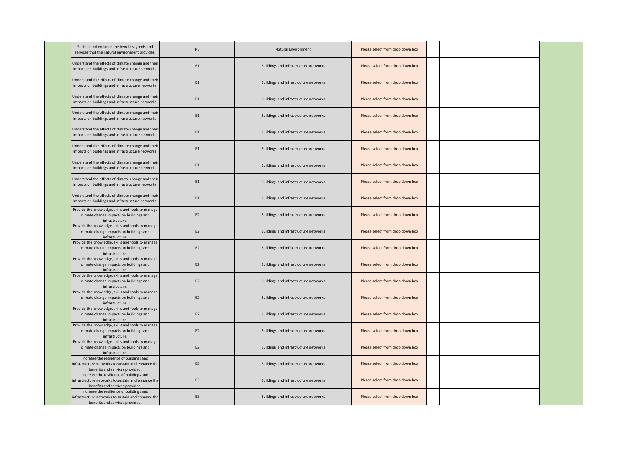| Sustain and enhance the benefits, goods and<br>services that the natural environment provides.                                    | N <sub>3</sub> | <b>Natural Environment</b>            | Please select from drop down box |  |
|-----------------------------------------------------------------------------------------------------------------------------------|----------------|---------------------------------------|----------------------------------|--|
| Understand the effects of climate change and their<br>impacts on buildings and infrastructure networks                            | B1             | Buildings and infrastructure networks | Please select from drop down box |  |
| Understand the effects of climate change and their<br>impacts on buildings and infrastructure networks.                           | <b>B1</b>      | Buildings and infrastructure networks | Please select from drop down box |  |
| Understand the effects of climate change and their<br>impacts on buildings and infrastructure networks                            | <b>B1</b>      | Buildings and infrastructure networks | Please select from drop down box |  |
| Understand the effects of climate change and their<br>impacts on buildings and infrastructure networks.                           | <b>B1</b>      | Buildings and infrastructure networks | Please select from drop down box |  |
| Understand the effects of climate change and their<br>impacts on buildings and infrastructure networks                            | B1             | Buildings and infrastructure networks | Please select from drop down box |  |
| Understand the effects of climate change and their<br>impacts on buildings and infrastructure networks.                           | B1             | Buildings and infrastructure networks | Please select from drop down box |  |
| Understand the effects of climate change and their<br>impacts on buildings and infrastructure networks.                           | B1             | Buildings and infrastructure networks | Please select from drop down box |  |
| Understand the effects of climate change and their<br>impacts on buildings and infrastructure networks                            | B1             | Buildings and infrastructure networks | Please select from drop down box |  |
| Understand the effects of climate change and their<br>impacts on buildings and infrastructure networks.                           | B1             | Buildings and infrastructure networks | Please select from drop down box |  |
| Provide the knowledge, skills and tools to manage<br>climate change impacts on buildings and<br>infrastructure.                   | <b>B2</b>      | Buildings and infrastructure networks | Please select from drop down box |  |
| Provide the knowledge, skills and tools to manage<br>climate change impacts on buildings and<br>infrastructure.                   | <b>B2</b>      | Buildings and infrastructure networks | Please select from drop down box |  |
| Provide the knowledge, skills and tools to manage<br>climate change impacts on buildings and<br>infrastructure.                   | B <sub>2</sub> | Buildings and infrastructure networks | Please select from drop down box |  |
| Provide the knowledge, skills and tools to manage<br>climate change impacts on buildings and<br>infrastructure                    | B2             | Buildings and infrastructure networks | Please select from drop down box |  |
| Provide the knowledge, skills and tools to manage<br>climate change impacts on buildings and<br>infrastructure                    | <b>B2</b>      | Buildings and infrastructure networks | Please select from drop down box |  |
| Provide the knowledge, skills and tools to manage<br>climate change impacts on buildings and<br>infrastructure.                   | <b>B2</b>      | Buildings and infrastructure networks | Please select from drop down box |  |
| Provide the knowledge, skills and tools to manage<br>climate change impacts on buildings and<br>infrastructure.                   | B2             | Buildings and infrastructure networks | Please select from drop down box |  |
| Provide the knowledge, skills and tools to manage<br>climate change impacts on buildings and<br>infrastructure.                   | <b>B2</b>      | Buildings and infrastructure networks | Please select from drop down box |  |
| Provide the knowledge, skills and tools to manage<br>climate change impacts on buildings and<br>infrastructure                    | <b>B2</b>      | Buildings and infrastructure networks | Please select from drop down box |  |
| Increase the resilience of buildings and<br>infrastructure networks to sustain and enhance the<br>benefits and services provided. | B <sub>3</sub> | Buildings and infrastructure networks | Please select from drop down box |  |
| Increase the resilience of buildings and<br>infrastructure networks to sustain and enhance the<br>benefits and services provided. | B <sub>3</sub> | Buildings and infrastructure networks | Please select from drop down box |  |
| Increase the resilience of buildings and<br>infrastructure networks to sustain and enhance the<br>benefits and services provided. | B <sub>3</sub> | Buildings and infrastructure networks | Please select from drop down box |  |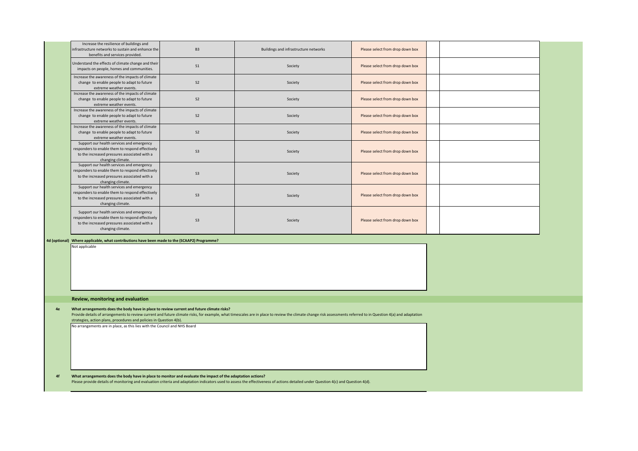|    | Increase the resilience of buildings and<br>infrastructure networks to sustain and enhance the<br>benefits and services provided.                                                                                                                                                                 | B <sub>3</sub> | Buildings and infrastructure networks                                                                                                                                                                           | Please select from drop down box |  |  |
|----|---------------------------------------------------------------------------------------------------------------------------------------------------------------------------------------------------------------------------------------------------------------------------------------------------|----------------|-----------------------------------------------------------------------------------------------------------------------------------------------------------------------------------------------------------------|----------------------------------|--|--|
|    | Understand the effects of climate change and their<br>impacts on people, homes and communities.                                                                                                                                                                                                   | S <sub>1</sub> | Society                                                                                                                                                                                                         | Please select from drop down box |  |  |
|    | Increase the awareness of the impacts of climate<br>change to enable people to adapt to future<br>extreme weather events.                                                                                                                                                                         | S <sub>2</sub> | Society                                                                                                                                                                                                         | Please select from drop down box |  |  |
|    | Increase the awareness of the impacts of climate<br>change to enable people to adapt to future<br>extreme weather events.                                                                                                                                                                         | S <sub>2</sub> | Society                                                                                                                                                                                                         | Please select from drop down box |  |  |
|    | Increase the awareness of the impacts of climate<br>change to enable people to adapt to future<br>extreme weather events.                                                                                                                                                                         | S <sub>2</sub> | Society                                                                                                                                                                                                         | Please select from drop down box |  |  |
|    | Increase the awareness of the impacts of climate<br>change to enable people to adapt to future<br>extreme weather events.                                                                                                                                                                         | S <sub>2</sub> | Society                                                                                                                                                                                                         | Please select from drop down box |  |  |
|    | Support our health services and emergency<br>responders to enable them to respond effectively<br>to the increased pressures associated with a<br>changing climate.                                                                                                                                | S <sub>3</sub> | Society                                                                                                                                                                                                         | Please select from drop down box |  |  |
|    | Support our health services and emergency<br>responders to enable them to respond effectively<br>to the increased pressures associated with a<br>changing climate.                                                                                                                                | S <sub>3</sub> | Society                                                                                                                                                                                                         | Please select from drop down box |  |  |
|    | Support our health services and emergency<br>responders to enable them to respond effectively<br>to the increased pressures associated with a<br>changing climate.                                                                                                                                | S <sub>3</sub> | Society                                                                                                                                                                                                         | Please select from drop down box |  |  |
|    | Support our health services and emergency<br>responders to enable them to respond effectively<br>to the increased pressures associated with a<br>changing climate.                                                                                                                                | S <sub>3</sub> | Society                                                                                                                                                                                                         | Please select from drop down box |  |  |
|    | 4d (optional) Where applicable, what contributions have been made to the (SCAAP2) Programme?<br>Not applicable                                                                                                                                                                                    |                |                                                                                                                                                                                                                 |                                  |  |  |
|    | Review, monitoring and evaluation                                                                                                                                                                                                                                                                 |                |                                                                                                                                                                                                                 |                                  |  |  |
| 4e | What arrangements does the body have in place to review current and future climate risks?<br>strategies, action plans, procedures and policies in Question 4(b).                                                                                                                                  |                | Provide details of arrangements to review current and future climate risks, for example, what timescales are in place to review the climate change risk assessments referred to in Question 4(a) and adaptation |                                  |  |  |
|    | No arrangements are in place, as this lies with the Council and NHS Board                                                                                                                                                                                                                         |                |                                                                                                                                                                                                                 |                                  |  |  |
| 4f | What arrangements does the body have in place to monitor and evaluate the impact of the adaptation actions?<br>Please provide details of monitoring and evaluation criteria and adaptation indicators used to assess the effectiveness of actions detailed under Question 4(c) and Question 4(d). |                |                                                                                                                                                                                                                 |                                  |  |  |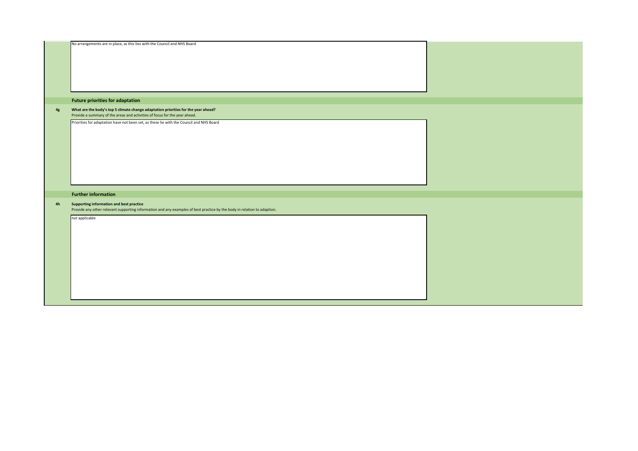|    | No arrangements are in place, as this lies with the Council and NHS Board                                                                                            |  |
|----|----------------------------------------------------------------------------------------------------------------------------------------------------------------------|--|
|    | <b>Future priorities for adaptation</b>                                                                                                                              |  |
| 4g | What are the body's top 5 climate change adaptation priorities for the year ahead?<br>Provide a summary of the areas and activities of focus for the year ahead.     |  |
|    | Priorities for adaptation have not been set, as these lie with the Council and NHS Board                                                                             |  |
|    | <b>Further information</b>                                                                                                                                           |  |
| 4h | Supporting information and best practice<br>Provide any other relevant supporting information and any examples of best practice by the body in relation to adaption. |  |
|    | not applicable                                                                                                                                                       |  |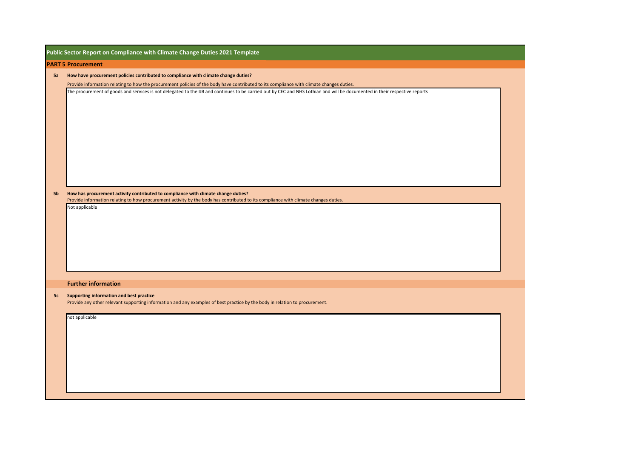|    | Public Sector Report on Compliance with Climate Change Duties 2021 Template                                                                                                                                                                                                                                                                                                                                                |
|----|----------------------------------------------------------------------------------------------------------------------------------------------------------------------------------------------------------------------------------------------------------------------------------------------------------------------------------------------------------------------------------------------------------------------------|
|    | <b>PART 5 Procurement</b>                                                                                                                                                                                                                                                                                                                                                                                                  |
| 5a | How have procurement policies contributed to compliance with climate change duties?                                                                                                                                                                                                                                                                                                                                        |
|    | Provide information relating to how the procurement policies of the body have contributed to its compliance with climate changes duties.                                                                                                                                                                                                                                                                                   |
| 5b | The procurement of goods and services is not delegated to the IJB and continues to be carried out by CEC and NHS Lothian and will be documented in their respective reports<br>How has procurement activity contributed to compliance with climate change duties?<br>Provide information relating to how procurement activity by the body has contributed to its compliance with climate changes duties.<br>Not applicable |
|    |                                                                                                                                                                                                                                                                                                                                                                                                                            |
|    | <b>Further information</b>                                                                                                                                                                                                                                                                                                                                                                                                 |
| 5c | <b>Supporting information and best practice</b><br>Provide any other relevant supporting information and any examples of best practice by the body in relation to procurement.                                                                                                                                                                                                                                             |
|    | not applicable                                                                                                                                                                                                                                                                                                                                                                                                             |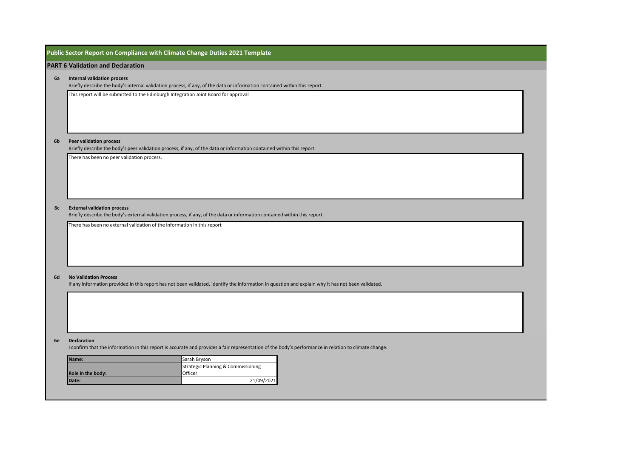### **Public Sector Report on Compliance with Climate Change Duties 2021 Template**

### **PART 6 Validation and Declaration**

### **6a Internal validation process**

Briefly describe the body's internal validation process, if any, of the data or information contained within this report.

This report will be submitted to the Edinburgh Integration Joint Board for approval

#### **6b Peer validation process**

Briefly describe the body's peer validation process, if any, of the data or information contained within this report.

There has been no peer validation process.

### **6c External validation process**

Briefly describe the body's external validation process, if any, of the data or information contained within this report.

There has been no external validation of the information in this report

### **6d No Validation Process**

If any information provided in this report has not been validated, identify the information in question and explain why it has not been validated.

### **6e Declaration**

I confirm that the information in this report is accurate and provides a fair representation of the body's performance in relation to climate change.

| IName:            | Sarah Bryson                                  |
|-------------------|-----------------------------------------------|
|                   | <b>Strategic Planning &amp; Commissioning</b> |
| Role in the body: | Officer                                       |
| Date:             | 21/09/2021                                    |